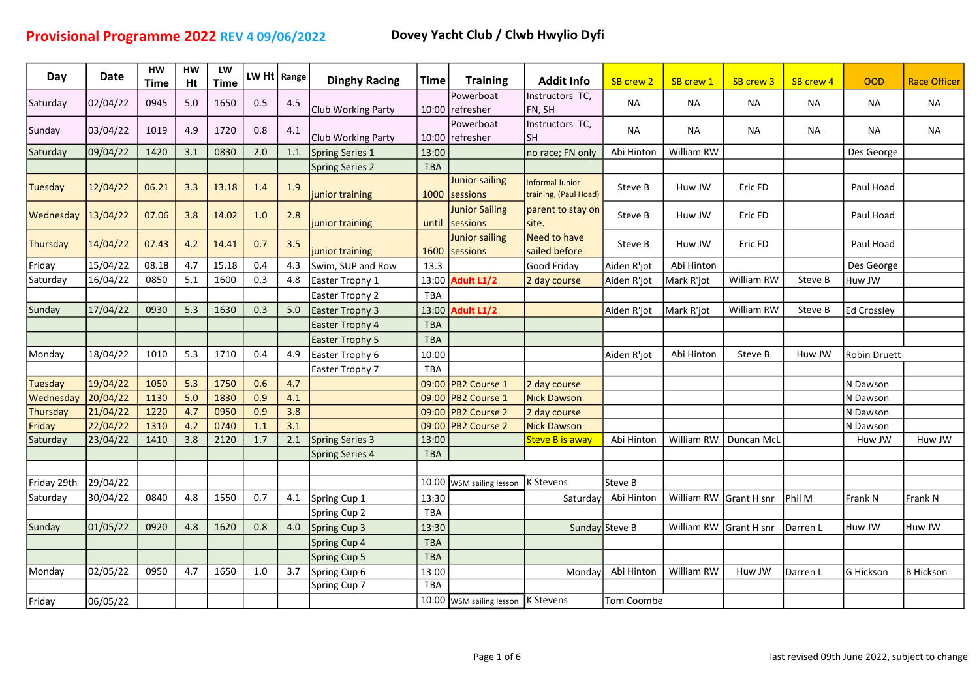| Day         | Date     | <b>HW</b><br>Time | <b>HW</b><br>Ht | LW<br><b>Time</b> |     | LW $Ht$ Range | <b>Dinghy Racing</b>   | <b>Time</b> | <b>Training</b>                   | <b>Addit Info</b>                               | SB crew 2      | SB crew 1              | SB crew 3   | SB crew 4 | <b>OOD</b>         | <b>Race Officer</b> |
|-------------|----------|-------------------|-----------------|-------------------|-----|---------------|------------------------|-------------|-----------------------------------|-------------------------------------------------|----------------|------------------------|-------------|-----------|--------------------|---------------------|
| Saturday    | 02/04/22 | 0945              | 5.0             | 1650              | 0.5 | 4.5           | Club Working Party     | 10:00       | Powerboat<br>refresher            | Instructors TC,<br>FN, SH                       | <b>NA</b>      | <b>NA</b>              | <b>NA</b>   | <b>NA</b> | <b>NA</b>          | <b>NA</b>           |
| Sunday      | 03/04/22 | 1019              | 4.9             | 1720              | 0.8 | 4.1           | Club Working Party     | 10:00       | Powerboat<br>refresher            | Instructors TC,<br><b>SH</b>                    | <b>NA</b>      | <b>NA</b>              | <b>NA</b>   | NА        | <b>NA</b>          | <b>NA</b>           |
| Saturday    | 09/04/22 | 1420              | 3.1             | 0830              | 2.0 | 1.1           | Spring Series 1        | 13:00       |                                   | no race; FN only                                | Abi Hinton     | William RW             |             |           | Des George         |                     |
|             |          |                   |                 |                   |     |               | <b>Spring Series 2</b> | <b>TBA</b>  |                                   |                                                 |                |                        |             |           |                    |                     |
| Tuesday     | 12/04/22 | 06.21             | 3.3             | 13.18             | 1.4 | 1.9           | junior training        | 1000        | <b>Junior sailing</b><br>sessions | <b>Informal Junior</b><br>training, (Paul Hoad) | Steve B        | Huw JW                 | Eric FD     |           | Paul Hoad          |                     |
| Wednesday   | 13/04/22 | 07.06             | 3.8             | 14.02             | 1.0 | 2.8           | junior training        | until       | <b>Junior Sailing</b><br>sessions | parent to stay on<br>site.                      | Steve B        | Huw JW                 | Eric FD     |           | Paul Hoad          |                     |
| Thursday    | 14/04/22 | 07.43             | 4.2             | 14.41             | 0.7 | 3.5           | junior training        | 1600        | <b>Junior sailing</b><br>sessions | Need to have<br>sailed before                   | Steve B        | Huw JW                 | Eric FD     |           | Paul Hoad          |                     |
| Friday      | 15/04/22 | 08.18             | 4.7             | 15.18             | 0.4 | 4.3           | Swim, SUP and Row      | 13.3        |                                   | Good Friday                                     | Aiden R'jot    | Abi Hinton             |             |           | Des George         |                     |
| Saturday    | 16/04/22 | 0850              | 5.1             | 1600              | 0.3 | 4.8           | Easter Trophy 1        | 13:00       | Adult L1/2                        | 2 day course                                    | Aiden R'jot    | Mark R'jot             | William RW  | Steve B   | Huw JW             |                     |
|             |          |                   |                 |                   |     |               | Easter Trophy 2        | <b>TBA</b>  |                                   |                                                 |                |                        |             |           |                    |                     |
| Sunday      | 17/04/22 | 0930              | 5.3             | 1630              | 0.3 | 5.0           | Easter Trophy 3        | 13:00       | Adult L1/2                        |                                                 | Aiden R'jot    | Mark R'jot             | William RW  | Steve B   | <b>Ed Crossley</b> |                     |
|             |          |                   |                 |                   |     |               | Easter Trophy 4        | <b>TBA</b>  |                                   |                                                 |                |                        |             |           |                    |                     |
|             |          |                   |                 |                   |     |               | Easter Trophy 5        | <b>TBA</b>  |                                   |                                                 |                |                        |             |           |                    |                     |
| Monday      | 18/04/22 | 1010              | 5.3             | 1710              | 0.4 | 4.9           | Easter Trophy 6        | 10:00       |                                   |                                                 | Aiden R'jot    | Abi Hinton             | Steve B     | Huw JW    | Robin Druett       |                     |
|             |          |                   |                 |                   |     |               | Easter Trophy 7        | <b>TBA</b>  |                                   |                                                 |                |                        |             |           |                    |                     |
| Tuesday     | 19/04/22 | 1050              | 5.3             | 1750              | 0.6 | 4.7           |                        |             | 09:00 PB2 Course 1                | 2 day course                                    |                |                        |             |           | N Dawson           |                     |
| Wednesday   | 20/04/22 | 1130              | 5.0             | 1830              | 0.9 | 4.1           |                        | 09:00       | PB2 Course 1                      | <b>Nick Dawson</b>                              |                |                        |             |           | N Dawson           |                     |
| Thursday    | 21/04/22 | 1220              | 4.7             | 0950              | 0.9 | 3.8           |                        | 09:00       | <b>PB2 Course 2</b>               | 2 day course                                    |                |                        |             |           | N Dawson           |                     |
| Friday      | 22/04/22 | 1310              | 4.2             | 0740              | 1.1 | 3.1           |                        | 09:00       | PB2 Course 2                      | <b>Nick Dawson</b>                              |                |                        |             |           | N Dawson           |                     |
| Saturday    | 23/04/22 | 1410              | 3.8             | 2120              | 1.7 | 2.1           | <b>Spring Series 3</b> | 13:00       |                                   | <b>Steve B is away</b>                          | Abi Hinton     | William RW             | Duncan McL  |           | Huw JW             | Huw JW              |
|             |          |                   |                 |                   |     |               | Spring Series 4        | <b>TBA</b>  |                                   |                                                 |                |                        |             |           |                    |                     |
|             |          |                   |                 |                   |     |               |                        |             |                                   |                                                 |                |                        |             |           |                    |                     |
| Friday 29th | 29/04/22 |                   |                 |                   |     |               |                        | 10:00       | WSM sailing lesson                | <b>K Stevens</b>                                | Steve B        |                        |             |           |                    |                     |
| Saturday    | 30/04/22 | 0840              | 4.8             | 1550              | 0.7 | 4.1           | Spring Cup 1           | 13:30       |                                   | Saturdav                                        | Abi Hinton     | William RW Grant H snr |             | Phil M    | Frank N            | Frank N             |
|             |          |                   |                 |                   |     |               | Spring Cup 2           | <b>TBA</b>  |                                   |                                                 |                |                        |             |           |                    |                     |
| Sunday      | 01/05/22 | 0920              | 4.8             | 1620              | 0.8 | 4.0           | Spring Cup 3           | 13:30       |                                   |                                                 | Sunday Steve B | William RW             | Grant H snr | Darren L  | Huw JW             | Huw JW              |
|             |          |                   |                 |                   |     |               | Spring Cup 4           | <b>TBA</b>  |                                   |                                                 |                |                        |             |           |                    |                     |
|             |          |                   |                 |                   |     |               | Spring Cup 5           | <b>TBA</b>  |                                   |                                                 |                |                        |             |           |                    |                     |
| Monday      | 02/05/22 | 0950              | 4.7             | 1650              | 1.0 | 3.7           | Spring Cup 6           | 13:00       |                                   | Monday                                          | Abi Hinton     | William RW             | Huw JW      | Darren L  | G Hickson          | B Hickson           |
|             |          |                   |                 |                   |     |               | Spring Cup 7           | <b>TBA</b>  |                                   |                                                 |                |                        |             |           |                    |                     |
| Friday      | 06/05/22 |                   |                 |                   |     |               |                        |             | 10:00 WSM sailing lesson          | <b>K</b> Stevens                                | Tom Coombe     |                        |             |           |                    |                     |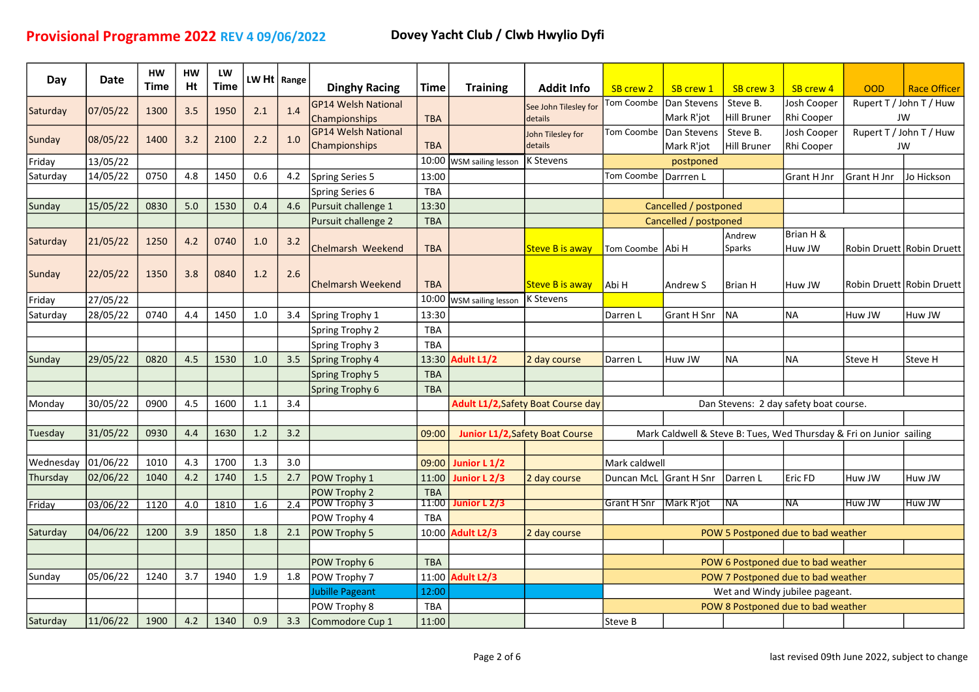| Day       | Date     | HW<br>Time | HW<br>Ht | LW<br><b>Time</b> |     | LW Ht Range | <b>Dinghy Racing</b>       | Time       | <b>Training</b>           | <b>Addit Info</b>                         | SB crew 2                          | SB crew 1             | SB crew 3          | SB crew 4                                                           | <b>OOD</b>  | <b>Race Officer</b>       |
|-----------|----------|------------|----------|-------------------|-----|-------------|----------------------------|------------|---------------------------|-------------------------------------------|------------------------------------|-----------------------|--------------------|---------------------------------------------------------------------|-------------|---------------------------|
|           |          |            |          |                   |     |             | <b>GP14 Welsh National</b> |            |                           | See John Tilesley for                     | Tom Coombe                         | <b>IDan Stevens</b>   | Steve B.           | Josh Cooper                                                         |             | Rupert T / John T / Huw   |
| Saturday  | 07/05/22 | 1300       | 3.5      | 1950              | 2.1 | 1.4         | <b>Championships</b>       | <b>TBA</b> |                           | details                                   |                                    | Mark R'jot            | <b>Hill Bruner</b> | Rhi Cooper                                                          |             | JW                        |
|           | 08/05/22 |            | 3.2      | 2100              |     |             | <b>GP14 Welsh National</b> |            |                           | John Tilesley for                         | <b>Tom Coombe</b>                  | Dan Stevens           | Steve B.           | Josh Cooper                                                         |             | Rupert T / John T / Huw   |
| Sunday    |          | 1400       |          |                   | 2.2 | 1.0         | Championships              | <b>TBA</b> |                           | details                                   |                                    | Mark R'jot            | Hill Bruner        | Rhi Cooper                                                          |             | JW                        |
| Friday    | 13/05/22 |            |          |                   |     |             |                            | 10:00      | <b>WSM sailing lesson</b> | K Stevens                                 |                                    | postponed             |                    |                                                                     |             |                           |
| Saturday  | 14/05/22 | 0750       | 4.8      | 1450              | 0.6 | 4.2         | <b>Spring Series 5</b>     | 13:00      |                           |                                           | <b>Tom Coombe</b>                  | l Darrren L           |                    | Grant H Jnr                                                         | Grant H Jnr | Jo Hickson                |
|           |          |            |          |                   |     |             | Spring Series 6            | <b>TBA</b> |                           |                                           |                                    |                       |                    |                                                                     |             |                           |
| Sunday    | 15/05/22 | 0830       | 5.0      | 1530              | 0.4 | 4.6         | Pursuit challenge 1        | 13:30      |                           |                                           |                                    | Cancelled / postponed |                    |                                                                     |             |                           |
|           |          |            |          |                   |     |             | Pursuit challenge 2        | <b>TBA</b> |                           |                                           |                                    | Cancelled / postponed |                    |                                                                     |             |                           |
| Saturday  | 21/05/22 | 1250       | 4.2      | 0740              | 1.0 | 3.2         | Chelmarsh Weekend          | <b>TBA</b> |                           | <b>Steve B is away</b>                    | Tom Coombe   Abi H                 |                       | Andrew<br>Sparks   | Brian H &<br>Huw JW                                                 |             | Robin Druett Robin Druett |
| Sunday    | 22/05/22 | 1350       | 3.8      | 0840              | 1.2 | 2.6         | <b>Chelmarsh Weekend</b>   | <b>TBA</b> |                           | <b>Steve B is away</b>                    | Abi H                              | Andrew S              | Brian H            | Huw JW                                                              |             | Robin Druett Robin Druett |
| Friday    | 27/05/22 |            |          |                   |     |             |                            | 10:00      | WSM sailing lesson        | <b>K Stevens</b>                          |                                    |                       |                    |                                                                     |             |                           |
| Saturday  | 28/05/22 | 0740       | 4.4      | 1450              | 1.0 | 3.4         | Spring Trophy 1            | 13:30      |                           |                                           | Darren L                           | Grant H Snr           | NA                 | <b>NA</b>                                                           | Huw JW      | Huw JW                    |
|           |          |            |          |                   |     |             | Spring Trophy 2            | TBA        |                           |                                           |                                    |                       |                    |                                                                     |             |                           |
|           |          |            |          |                   |     |             | Spring Trophy 3            | <b>TBA</b> |                           |                                           |                                    |                       |                    |                                                                     |             |                           |
| Sunday    | 29/05/22 | 0820       | 4.5      | 1530              | 1.0 | 3.5         | Spring Trophy 4            | 13:30      | Adult L1/2                | 2 day course                              | Darren L                           | Huw JW                | <b>NA</b>          | <b>NA</b>                                                           | Steve H     | Steve H                   |
|           |          |            |          |                   |     |             | Spring Trophy 5            | <b>TBA</b> |                           |                                           |                                    |                       |                    |                                                                     |             |                           |
|           |          |            |          |                   |     |             | Spring Trophy 6            | <b>TBA</b> |                           |                                           |                                    |                       |                    |                                                                     |             |                           |
| Monday    | 30/05/22 | 0900       | 4.5      | 1600              | 1.1 | 3.4         |                            |            |                           | <b>Adult L1/2, Safety Boat Course day</b> |                                    |                       |                    | Dan Stevens: 2 day safety boat course.                              |             |                           |
|           |          |            |          |                   |     |             |                            |            |                           |                                           |                                    |                       |                    |                                                                     |             |                           |
| Tuesday   | 31/05/22 | 0930       | 4.4      | 1630              | 1.2 | 3.2         |                            | 09:00      |                           | <b>Junior L1/2, Safety Boat Course</b>    |                                    |                       |                    | Mark Caldwell & Steve B: Tues, Wed Thursday & Fri on Junior sailing |             |                           |
|           |          |            |          |                   |     |             |                            |            |                           |                                           |                                    |                       |                    |                                                                     |             |                           |
| Wednesday | 01/06/22 | 1010       | 4.3      | 1700              | 1.3 | 3.0         |                            | 09:00      | Junior L 1/2              |                                           | Mark caldwell                      |                       |                    |                                                                     |             |                           |
| Thursday  | 02/06/22 | 1040       | 4.2      | 1740              | 1.5 | 2.7         | POW Trophy 1               | 11:00      | Junior L 2/3              | 2 day course                              | Duncan McL Grant H Snr             |                       | Darren L           | Eric FD                                                             | Huw JW      | Huw JW                    |
|           |          |            |          |                   |     |             | POW Trophy 2               | <b>TBA</b> |                           |                                           |                                    |                       |                    |                                                                     |             |                           |
| Friday    | 03/06/22 | 1120       | 4.0      | 1810              | 1.6 | 2.4         | POW Trophy 3               | 11:00      | Junior L 2/3              |                                           | <b>Grant H Snr</b>                 | Mark R'jot            | <b>NA</b>          | ΝA                                                                  | Huw JW      | Huw JW                    |
|           |          |            |          |                   |     |             | POW Trophy 4               | <b>TBA</b> |                           |                                           |                                    |                       |                    |                                                                     |             |                           |
| Saturday  | 04/06/22 | 1200       | 3.9      | 1850              | 1.8 | 2.1         | POW Trophy 5               | 10:00      | Adult L2/3                | 2 day course                              |                                    |                       |                    | POW 5 Postponed due to bad weather                                  |             |                           |
|           |          |            |          |                   |     |             |                            |            |                           |                                           |                                    |                       |                    |                                                                     |             |                           |
|           |          |            |          |                   |     |             | POW Trophy 6               | <b>TBA</b> |                           |                                           |                                    |                       |                    | POW 6 Postponed due to bad weather                                  |             |                           |
| Sunday    | 05/06/22 | 1240       | 3.7      | 1940              | 1.9 | 1.8         | POW Trophy 7               |            | 11:00 Adult L2/3          |                                           | POW 7 Postponed due to bad weather |                       |                    |                                                                     |             |                           |
|           |          |            |          |                   |     |             | <b>Jubille Pageant</b>     | 12:00      |                           |                                           | Wet and Windy jubilee pageant.     |                       |                    |                                                                     |             |                           |
|           |          |            |          |                   |     |             | POW Trophy 8               | <b>TBA</b> |                           |                                           | POW 8 Postponed due to bad weather |                       |                    |                                                                     |             |                           |
| Saturday  | 11/06/22 | 1900       | 4.2      | 1340              | 0.9 | 3.3         | Commodore Cup 1            | 11:00      |                           |                                           | Steve B                            |                       |                    |                                                                     |             |                           |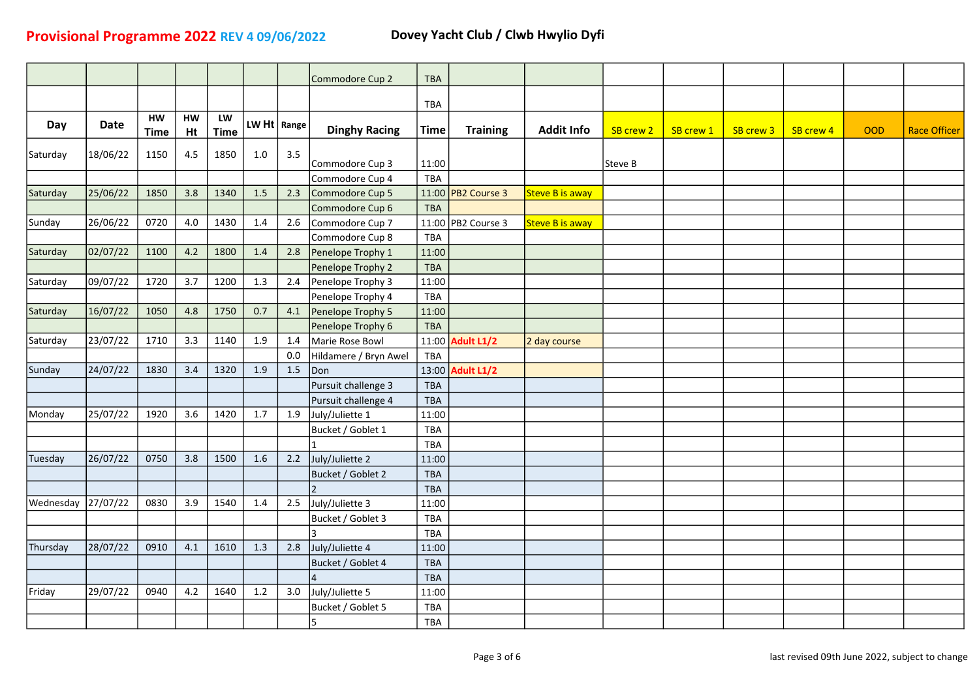|           |             |                          |                 |                   |     |             | Commodore Cup 2       | <b>TBA</b>  |                    |                        |           |           |           |           |     |                     |
|-----------|-------------|--------------------------|-----------------|-------------------|-----|-------------|-----------------------|-------------|--------------------|------------------------|-----------|-----------|-----------|-----------|-----|---------------------|
|           |             |                          |                 |                   |     |             |                       | <b>TBA</b>  |                    |                        |           |           |           |           |     |                     |
| Day       | <b>Date</b> | <b>HW</b><br><b>Time</b> | <b>HW</b><br>Ht | LW<br><b>Time</b> |     | LW Ht Range | <b>Dinghy Racing</b>  | <b>Time</b> | <b>Training</b>    | <b>Addit Info</b>      | SB crew 2 | SB crew 1 | SB crew 3 | SB crew 4 | OOD | <b>Race Officer</b> |
| Saturday  | 18/06/22    | 1150                     | 4.5             | 1850              | 1.0 | 3.5         | Commodore Cup 3       | 11:00       |                    |                        | Steve B   |           |           |           |     |                     |
|           |             |                          |                 |                   |     |             | Commodore Cup 4       | <b>TBA</b>  |                    |                        |           |           |           |           |     |                     |
| Saturday  | 25/06/22    | 1850                     | 3.8             | 1340              | 1.5 | 2.3         | Commodore Cup 5       |             | 11:00 PB2 Course 3 | <b>Steve B is away</b> |           |           |           |           |     |                     |
|           |             |                          |                 |                   |     |             | Commodore Cup 6       | <b>TBA</b>  |                    |                        |           |           |           |           |     |                     |
| Sunday    | 26/06/22    | 0720                     | 4.0             | 1430              | 1.4 | 2.6         | Commodore Cup 7       |             | 11:00 PB2 Course 3 | Steve B is away        |           |           |           |           |     |                     |
|           |             |                          |                 |                   |     |             | Commodore Cup 8       | TBA         |                    |                        |           |           |           |           |     |                     |
| Saturday  | 02/07/22    | 1100                     | 4.2             | 1800              | 1.4 | 2.8         | Penelope Trophy 1     | 11:00       |                    |                        |           |           |           |           |     |                     |
|           |             |                          |                 |                   |     |             | Penelope Trophy 2     | <b>TBA</b>  |                    |                        |           |           |           |           |     |                     |
| Saturday  | 09/07/22    | 1720                     | 3.7             | 1200              | 1.3 | 2.4         | Penelope Trophy 3     | 11:00       |                    |                        |           |           |           |           |     |                     |
|           |             |                          |                 |                   |     |             | Penelope Trophy 4     | TBA         |                    |                        |           |           |           |           |     |                     |
| Saturday  | 16/07/22    | 1050                     | 4.8             | 1750              | 0.7 | 4.1         | Penelope Trophy 5     | 11:00       |                    |                        |           |           |           |           |     |                     |
|           |             |                          |                 |                   |     |             | Penelope Trophy 6     | <b>TBA</b>  |                    |                        |           |           |           |           |     |                     |
| Saturday  | 23/07/22    | 1710                     | 3.3             | 1140              | 1.9 | 1.4         | Marie Rose Bowl       |             | 11:00 Adult L1/2   | 2 day course           |           |           |           |           |     |                     |
|           |             |                          |                 |                   |     | 0.0         | Hildamere / Bryn Awel | <b>TBA</b>  |                    |                        |           |           |           |           |     |                     |
| Sunday    | 24/07/22    | 1830                     | 3.4             | 1320              | 1.9 | $1.5\,$     | Don                   | 13:00       | Adult L1/2         |                        |           |           |           |           |     |                     |
|           |             |                          |                 |                   |     |             | Pursuit challenge 3   | <b>TBA</b>  |                    |                        |           |           |           |           |     |                     |
|           |             |                          |                 |                   |     |             | Pursuit challenge 4   | <b>TBA</b>  |                    |                        |           |           |           |           |     |                     |
| Monday    | 25/07/22    | 1920                     | 3.6             | 1420              | 1.7 | 1.9         | July/Juliette 1       | 11:00       |                    |                        |           |           |           |           |     |                     |
|           |             |                          |                 |                   |     |             | Bucket / Goblet 1     | TBA         |                    |                        |           |           |           |           |     |                     |
|           |             |                          |                 |                   |     |             |                       | TBA         |                    |                        |           |           |           |           |     |                     |
| Tuesday   | 26/07/22    | 0750                     | 3.8             | 1500              | 1.6 | 2.2         | July/Juliette 2       | 11:00       |                    |                        |           |           |           |           |     |                     |
|           |             |                          |                 |                   |     |             | Bucket / Goblet 2     | <b>TBA</b>  |                    |                        |           |           |           |           |     |                     |
|           |             |                          |                 |                   |     |             | $\mathfrak{D}$        | <b>TBA</b>  |                    |                        |           |           |           |           |     |                     |
| Wednesday | 27/07/22    | 0830                     | 3.9             | 1540              | 1.4 | 2.5         | July/Juliette 3       | 11:00       |                    |                        |           |           |           |           |     |                     |
|           |             |                          |                 |                   |     |             | Bucket / Goblet 3     | TBA         |                    |                        |           |           |           |           |     |                     |
|           |             |                          |                 |                   |     |             | $\overline{3}$        | TBA         |                    |                        |           |           |           |           |     |                     |
| Thursday  | 28/07/22    | 0910                     | 4.1             | 1610              | 1.3 | 2.8         | July/Juliette 4       | 11:00       |                    |                        |           |           |           |           |     |                     |
|           |             |                          |                 |                   |     |             | Bucket / Goblet 4     | TBA         |                    |                        |           |           |           |           |     |                     |
|           |             |                          |                 |                   |     |             |                       | <b>TBA</b>  |                    |                        |           |           |           |           |     |                     |
| Friday    | 29/07/22    | 0940                     | 4.2             | 1640              | 1.2 | 3.0         | July/Juliette 5       | 11:00       |                    |                        |           |           |           |           |     |                     |
|           |             |                          |                 |                   |     |             | Bucket / Goblet 5     | TBA         |                    |                        |           |           |           |           |     |                     |
|           |             |                          |                 |                   |     |             | 5                     | TBA         |                    |                        |           |           |           |           |     |                     |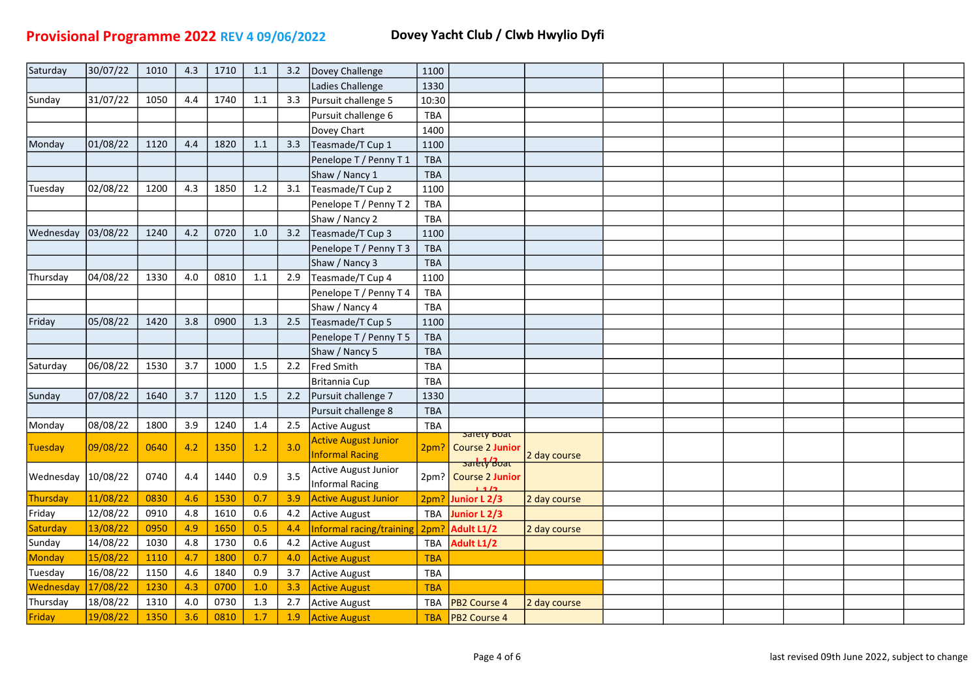| Saturday        | 30/07/22 | 1010 | 4.3     | 1710 | 1.1   | 3.2 | Dovey Challenge                                       | 1100       |                                                             |              |  |  |  |
|-----------------|----------|------|---------|------|-------|-----|-------------------------------------------------------|------------|-------------------------------------------------------------|--------------|--|--|--|
|                 |          |      |         |      |       |     | Ladies Challenge                                      | 1330       |                                                             |              |  |  |  |
| Sunday          | 31/07/22 | 1050 | 4.4     | 1740 | 1.1   | 3.3 | Pursuit challenge 5                                   | 10:30      |                                                             |              |  |  |  |
|                 |          |      |         |      |       |     | Pursuit challenge 6                                   | <b>TBA</b> |                                                             |              |  |  |  |
|                 |          |      |         |      |       |     | Dovey Chart                                           | 1400       |                                                             |              |  |  |  |
| Monday          | 01/08/22 | 1120 | 4.4     | 1820 | 1.1   | 3.3 | Teasmade/T Cup 1                                      | 1100       |                                                             |              |  |  |  |
|                 |          |      |         |      |       |     | Penelope T / Penny T 1                                | <b>TBA</b> |                                                             |              |  |  |  |
|                 |          |      |         |      |       |     | Shaw / Nancy 1                                        | <b>TBA</b> |                                                             |              |  |  |  |
| Tuesday         | 02/08/22 | 1200 | 4.3     | 1850 | 1.2   | 3.1 | Teasmade/T Cup 2                                      | 1100       |                                                             |              |  |  |  |
|                 |          |      |         |      |       |     | Penelope T / Penny T 2                                | <b>TBA</b> |                                                             |              |  |  |  |
|                 |          |      |         |      |       |     | Shaw / Nancy 2                                        | <b>TBA</b> |                                                             |              |  |  |  |
| Wednesday       | 03/08/22 | 1240 | 4.2     | 0720 | 1.0   | 3.2 | Teasmade/T Cup 3                                      | 1100       |                                                             |              |  |  |  |
|                 |          |      |         |      |       |     | Penelope T / Penny T 3                                | <b>TBA</b> |                                                             |              |  |  |  |
|                 |          |      |         |      |       |     | Shaw / Nancy 3                                        | <b>TBA</b> |                                                             |              |  |  |  |
| Thursday        | 04/08/22 | 1330 | 4.0     | 0810 | 1.1   | 2.9 | Teasmade/T Cup 4                                      | 1100       |                                                             |              |  |  |  |
|                 |          |      |         |      |       |     | Penelope T / Penny T 4                                | <b>TBA</b> |                                                             |              |  |  |  |
|                 |          |      |         |      |       |     | Shaw / Nancy 4                                        | <b>TBA</b> |                                                             |              |  |  |  |
| Friday          | 05/08/22 | 1420 | 3.8     | 0900 | 1.3   | 2.5 | Teasmade/T Cup 5                                      | 1100       |                                                             |              |  |  |  |
|                 |          |      |         |      |       |     | Penelope T / Penny T 5                                | <b>TBA</b> |                                                             |              |  |  |  |
|                 |          |      |         |      |       |     | Shaw / Nancy 5                                        | <b>TBA</b> |                                                             |              |  |  |  |
| Saturday        | 06/08/22 | 1530 | 3.7     | 1000 | 1.5   | 2.2 | Fred Smith                                            | TBA        |                                                             |              |  |  |  |
|                 |          |      |         |      |       |     | <b>Britannia Cup</b>                                  | TBA        |                                                             |              |  |  |  |
| Sunday          | 07/08/22 | 1640 | 3.7     | 1120 | 1.5   | 2.2 | Pursuit challenge 7                                   | 1330       |                                                             |              |  |  |  |
|                 |          |      |         |      |       |     | Pursuit challenge 8                                   | <b>TBA</b> |                                                             |              |  |  |  |
| Monday          | 08/08/22 | 1800 | 3.9     | 1240 | 1.4   | 2.5 | <b>Active August</b>                                  | TBA        | Salety Boat                                                 |              |  |  |  |
| Tuesday         | 09/08/22 | 0640 | 4.2     | 1350 | 1.2   | 3.0 | <b>Active August Junior</b><br><b>Informal Racing</b> | 2pm?       | Course 2 Junior                                             | 2 day course |  |  |  |
| Wednesday       | 10/08/22 | 0740 | 4.4     | 1440 | 0.9   | 3.5 | Active August Junior<br><b>Informal Racing</b>        |            | <mark>ਤਗ਼ਦਾਂੀ, ਤ</mark> ਿਹਗ<br>2pm? Course 2 Junior<br>11/2 |              |  |  |  |
| <b>Thursday</b> | 11/08/22 | 0830 | 4.6     | 1530 | 0.7   | 3.9 | <b>Active August Junior</b>                           | 2pm?       | Junior L 2/3                                                | 2 day course |  |  |  |
| Friday          | 12/08/22 | 0910 | 4.8     | 1610 | 0.6   | 4.2 | <b>Active August</b>                                  | TBA        | Junior L 2/3                                                |              |  |  |  |
| Saturday        | 13/08/22 | 0950 | 4.9     | 1650 | 0.5   | 4.4 | Informal racing/training                              | 2pm?       | Adult L1/2                                                  | 2 day course |  |  |  |
| Sunday          | 14/08/22 | 1030 | 4.8     | 1730 | 0.6   | 4.2 | <b>Active August</b>                                  | TBA        | <b>Adult L1/2</b>                                           |              |  |  |  |
| Monday          | 15/08/22 | 1110 | 4.7     | 1800 | 0.7   | 4.0 | <b>Active August</b>                                  | <b>TBA</b> |                                                             |              |  |  |  |
| Tuesday         | 16/08/22 | 1150 | 4.6     | 1840 | 0.9   | 3.7 | <b>Active August</b>                                  | TBA        |                                                             |              |  |  |  |
| Wednesday       | 17/08/22 | 1230 | 4.3     | 0700 | $1.0$ | 3.3 | <b>Active August</b>                                  | <b>TBA</b> |                                                             |              |  |  |  |
| Thursday        | 18/08/22 | 1310 | $4.0\,$ | 0730 | 1.3   | 2.7 | <b>Active August</b>                                  | <b>TBA</b> | PB2 Course 4                                                | 2 day course |  |  |  |
| Friday          | 19/08/22 | 1350 | 3.6     | 0810 | 1.7   | 1.9 | <b>Active August</b>                                  | <b>TBA</b> | PB2 Course 4                                                |              |  |  |  |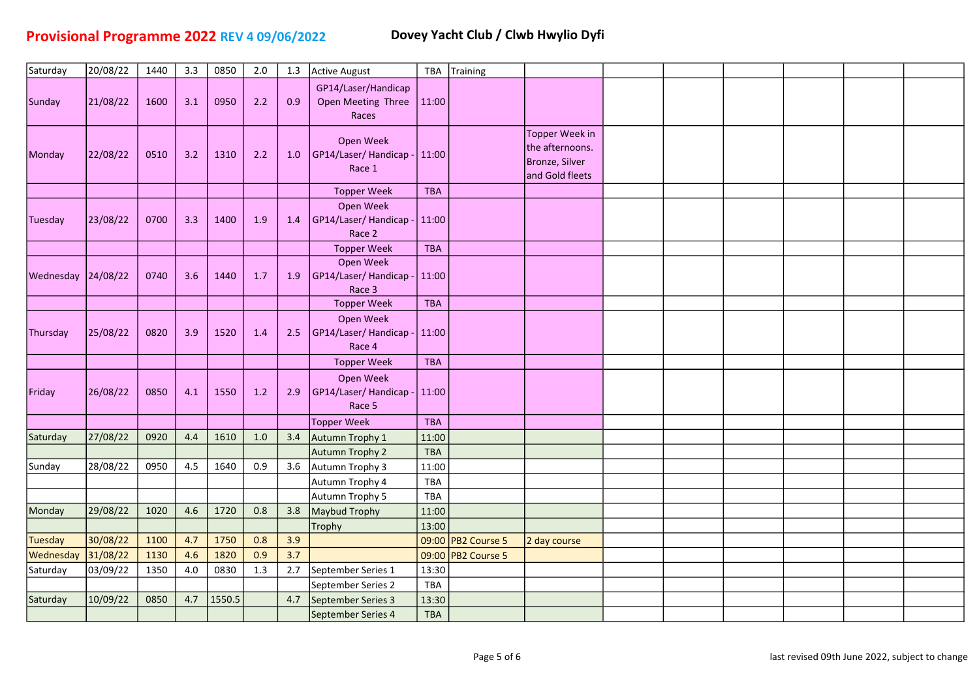| Saturday  | 20/08/22 | 1440 | 3.3     | 0850   | $2.0\,$ | 1.3 | <b>Active August</b>                               | <b>TBA</b> | Training           |                                                                        |  |  |  |
|-----------|----------|------|---------|--------|---------|-----|----------------------------------------------------|------------|--------------------|------------------------------------------------------------------------|--|--|--|
| Sunday    | 21/08/22 | 1600 | 3.1     | 0950   | 2.2     | 0.9 | GP14/Laser/Handicap<br>Open Meeting Three<br>Races | 11:00      |                    |                                                                        |  |  |  |
| Monday    | 22/08/22 | 0510 | 3.2     | 1310   | 2.2     | 1.0 | Open Week<br>GP14/Laser/ Handicap -<br>Race 1      | 11:00      |                    | Topper Week in<br>the afternoons.<br>Bronze, Silver<br>and Gold fleets |  |  |  |
|           |          |      |         |        |         |     | <b>Topper Week</b>                                 | <b>TBA</b> |                    |                                                                        |  |  |  |
| Tuesday   | 23/08/22 | 0700 | 3.3     | 1400   | 1.9     | 1.4 | Open Week<br>GP14/Laser/ Handicap -<br>Race 2      | 11:00      |                    |                                                                        |  |  |  |
|           |          |      |         |        |         |     | <b>Topper Week</b>                                 | <b>TBA</b> |                    |                                                                        |  |  |  |
| Wednesday | 24/08/22 | 0740 | 3.6     | 1440   | 1.7     | 1.9 | Open Week<br>GP14/Laser/ Handicap -<br>Race 3      | 11:00      |                    |                                                                        |  |  |  |
|           |          |      |         |        |         |     | <b>Topper Week</b>                                 | <b>TBA</b> |                    |                                                                        |  |  |  |
| Thursday  | 25/08/22 | 0820 | 3.9     | 1520   | 1.4     | 2.5 | Open Week<br>GP14/Laser/ Handicap -<br>Race 4      | 11:00      |                    |                                                                        |  |  |  |
|           |          |      |         |        |         |     | <b>Topper Week</b>                                 | <b>TBA</b> |                    |                                                                        |  |  |  |
| Friday    | 26/08/22 | 0850 | 4.1     | 1550   | 1.2     | 2.9 | Open Week<br>GP14/Laser/ Handicap -<br>Race 5      | 11:00      |                    |                                                                        |  |  |  |
|           |          |      |         |        |         |     | <b>Topper Week</b>                                 | <b>TBA</b> |                    |                                                                        |  |  |  |
| Saturday  | 27/08/22 | 0920 | 4.4     | 1610   | $1.0$   | 3.4 | Autumn Trophy 1                                    | 11:00      |                    |                                                                        |  |  |  |
|           |          |      |         |        |         |     | Autumn Trophy 2                                    | <b>TBA</b> |                    |                                                                        |  |  |  |
| Sunday    | 28/08/22 | 0950 | 4.5     | 1640   | 0.9     | 3.6 | Autumn Trophy 3                                    | 11:00      |                    |                                                                        |  |  |  |
|           |          |      |         |        |         |     | Autumn Trophy 4                                    | <b>TBA</b> |                    |                                                                        |  |  |  |
|           |          |      |         |        |         |     | Autumn Trophy 5                                    | <b>TBA</b> |                    |                                                                        |  |  |  |
| Monday    | 29/08/22 | 1020 | 4.6     | 1720   | 0.8     | 3.8 | Maybud Trophy                                      | 11:00      |                    |                                                                        |  |  |  |
|           |          |      |         |        |         |     | Trophy                                             | 13:00      |                    |                                                                        |  |  |  |
| Tuesday   | 30/08/22 | 1100 | 4.7     | 1750   | 0.8     | 3.9 |                                                    |            | 09:00 PB2 Course 5 | 2 day course                                                           |  |  |  |
| Wednesday | 31/08/22 | 1130 | 4.6     | 1820   | 0.9     | 3.7 |                                                    |            | 09:00 PB2 Course 5 |                                                                        |  |  |  |
| Saturday  | 03/09/22 | 1350 | $4.0\,$ | 0830   | 1.3     | 2.7 | September Series 1                                 | 13:30      |                    |                                                                        |  |  |  |
|           |          |      |         |        |         |     | September Series 2                                 | <b>TBA</b> |                    |                                                                        |  |  |  |
| Saturday  | 10/09/22 | 0850 | 4.7     | 1550.5 |         | 4.7 | September Series 3                                 | 13:30      |                    |                                                                        |  |  |  |
|           |          |      |         |        |         |     | September Series 4                                 | <b>TBA</b> |                    |                                                                        |  |  |  |